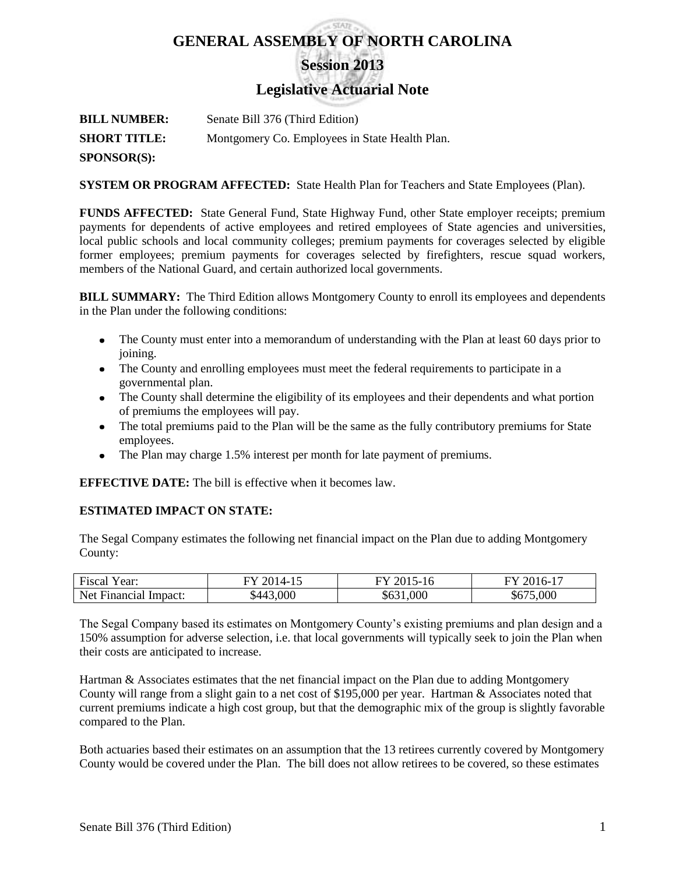# **GENERAL ASSEMBLY OF NORTH CAROLINA Session 2013**

**Legislative Actuarial Note**

**BILL NUMBER:** Senate Bill 376 (Third Edition) **SHORT TITLE:** Montgomery Co. Employees in State Health Plan. **SPONSOR(S):**

**SYSTEM OR PROGRAM AFFECTED:** State Health Plan for Teachers and State Employees (Plan).

**FUNDS AFFECTED:** State General Fund, State Highway Fund, other State employer receipts; premium payments for dependents of active employees and retired employees of State agencies and universities, local public schools and local community colleges; premium payments for coverages selected by eligible former employees; premium payments for coverages selected by firefighters, rescue squad workers, members of the National Guard, and certain authorized local governments.

**BILL SUMMARY:** The Third Edition allows Montgomery County to enroll its employees and dependents in the Plan under the following conditions:

- The County must enter into a memorandum of understanding with the Plan at least 60 days prior to joining.
- The County and enrolling employees must meet the federal requirements to participate in a governmental plan.
- The County shall determine the eligibility of its employees and their dependents and what portion of premiums the employees will pay.
- The total premiums paid to the Plan will be the same as the fully contributory premiums for State employees.
- The Plan may charge 1.5% interest per month for late payment of premiums.

**EFFECTIVE DATE:** The bill is effective when it becomes law.

# **ESTIMATED IMPACT ON STATE:**

The Segal Company estimates the following net financial impact on the Plan due to adding Montgomery County:

| $\overline{\phantom{a}}$<br>Fiscal<br>rear: | 201 $\triangle$<br>$\mathsf{L}$ | FY 20<br>-16<br>`- | 201<br>$\overline{1}$<br>'ი- |
|---------------------------------------------|---------------------------------|--------------------|------------------------------|
| Net Fi<br>Financial<br>Impact:              | ,000<br>442ه                    | \$631,000          | ,000<br>\$675                |

The Segal Company based its estimates on Montgomery County's existing premiums and plan design and a 150% assumption for adverse selection, i.e. that local governments will typically seek to join the Plan when their costs are anticipated to increase.

Hartman & Associates estimates that the net financial impact on the Plan due to adding Montgomery County will range from a slight gain to a net cost of \$195,000 per year. Hartman & Associates noted that current premiums indicate a high cost group, but that the demographic mix of the group is slightly favorable compared to the Plan.

Both actuaries based their estimates on an assumption that the 13 retirees currently covered by Montgomery County would be covered under the Plan. The bill does not allow retirees to be covered, so these estimates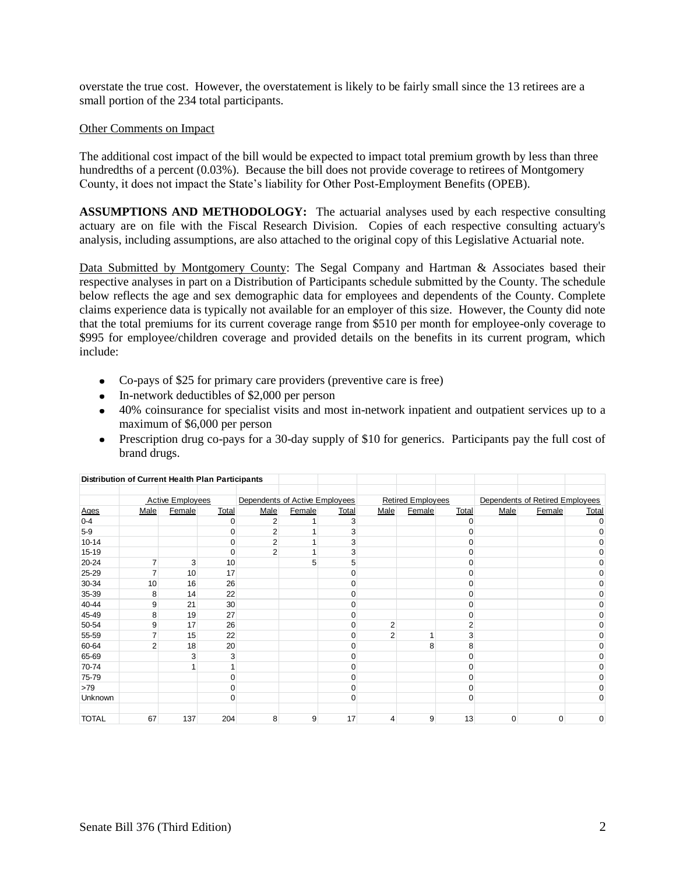overstate the true cost. However, the overstatement is likely to be fairly small since the 13 retirees are a small portion of the 234 total participants.

#### Other Comments on Impact

The additional cost impact of the bill would be expected to impact total premium growth by less than three hundredths of a percent (0.03%). Because the bill does not provide coverage to retirees of Montgomery County, it does not impact the State's liability for Other Post-Employment Benefits (OPEB).

**ASSUMPTIONS AND METHODOLOGY:** The actuarial analyses used by each respective consulting actuary are on file with the Fiscal Research Division. Copies of each respective consulting actuary's analysis, including assumptions, are also attached to the original copy of this Legislative Actuarial note.

Data Submitted by Montgomery County: The Segal Company and Hartman & Associates based their respective analyses in part on a Distribution of Participants schedule submitted by the County. The schedule below reflects the age and sex demographic data for employees and dependents of the County. Complete claims experience data is typically not available for an employer of this size. However, the County did note that the total premiums for its current coverage range from \$510 per month for employee-only coverage to \$995 for employee/children coverage and provided details on the benefits in its current program, which include:

- Co-pays of \$25 for primary care providers (preventive care is free)
- In-network deductibles of \$2,000 per person
- 40% coinsurance for specialist visits and most in-network inpatient and outpatient services up to a maximum of \$6,000 per person
- Prescription drug co-pays for a 30-day supply of \$10 for generics. Participants pay the full cost of brand drugs.

| Distribution of Current Health Plan Participants |                |                         |          |                                |        |              |                |                          |                |          |                                 |             |
|--------------------------------------------------|----------------|-------------------------|----------|--------------------------------|--------|--------------|----------------|--------------------------|----------------|----------|---------------------------------|-------------|
|                                                  |                |                         |          |                                |        |              |                |                          |                |          |                                 |             |
|                                                  |                | <b>Active Employees</b> |          | Dependents of Active Employees |        |              |                | <b>Retired Employees</b> |                |          | Dependents of Retired Employees |             |
| Ages                                             | Male           | Female                  | Total    | Male                           | Female | <b>Total</b> | Male           | Female                   | Total          | Male     | Female                          | Total       |
| $0 - 4$                                          |                |                         | 0        | 2                              |        | 3            |                |                          | 0              |          |                                 | $\mathbf 0$ |
| $5-9$                                            |                |                         |          | 2                              |        | 3            |                |                          |                |          |                                 | 0           |
| $10 - 14$                                        |                |                         | $\Omega$ | $\overline{2}$                 |        | 3            |                |                          | $\Omega$       |          |                                 | 0           |
| 15-19                                            |                |                         | O        | 2                              |        | 3            |                |                          | 0              |          |                                 | 0           |
| 20-24                                            | $\overline{7}$ | 3                       | 10       |                                | 5      | 5            |                |                          | 0              |          |                                 | 0           |
| 25-29                                            | $\overline{7}$ | 10                      | 17       |                                |        | በ            |                |                          | 0              |          |                                 | 0           |
| 30-34                                            | 10             | 16                      | 26       |                                |        |              |                |                          | $\Omega$       |          |                                 | 0           |
| 35-39                                            | 8              | 14                      | 22       |                                |        | በ            |                |                          | $\Omega$       |          |                                 | 0           |
| 40-44                                            | 9              | 21                      | 30       |                                |        |              |                |                          | O              |          |                                 | 0           |
| 45-49                                            | 8              | 19                      | 27       |                                |        | O            |                |                          | 0              |          |                                 | 0           |
| 50-54                                            | 9              | 17                      | 26       |                                |        | ი            | $\overline{2}$ |                          | $\overline{2}$ |          |                                 | 0           |
| 55-59                                            | 7              | 15                      | 22       |                                |        | O            | $\overline{2}$ | 1                        | 3              |          |                                 | $\Omega$    |
| 60-64                                            | $\overline{2}$ | 18                      | 20       |                                |        |              |                | 8                        | 8              |          |                                 | 0           |
| 65-69                                            |                | 3                       | 3        |                                |        |              |                |                          | 0              |          |                                 | 0           |
| 70-74                                            |                |                         |          |                                |        |              |                |                          | $\Omega$       |          |                                 | 0           |
| 75-79                                            |                |                         |          |                                |        |              |                |                          | $\Omega$       |          |                                 | 0           |
| >79                                              |                |                         | 0        |                                |        | 0            |                |                          | $\mathbf 0$    |          |                                 | $\Omega$    |
| Unknown                                          |                |                         | 0        |                                |        | 0            |                |                          | $\mathbf 0$    |          |                                 | $\Omega$    |
| <b>TOTAL</b>                                     | 67             | 137                     | 204      | 8                              | 9      | 17           | 4              | 9                        | 13             | $\Omega$ | $\Omega$                        | 0           |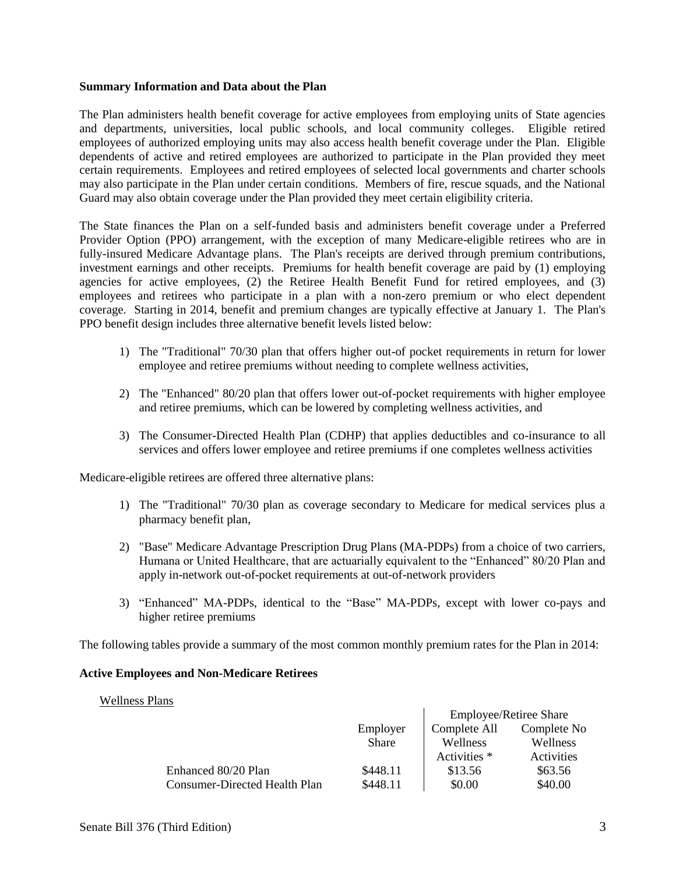#### **Summary Information and Data about the Plan**

The Plan administers health benefit coverage for active employees from employing units of State agencies and departments, universities, local public schools, and local community colleges. Eligible retired employees of authorized employing units may also access health benefit coverage under the Plan. Eligible dependents of active and retired employees are authorized to participate in the Plan provided they meet certain requirements. Employees and retired employees of selected local governments and charter schools may also participate in the Plan under certain conditions. Members of fire, rescue squads, and the National Guard may also obtain coverage under the Plan provided they meet certain eligibility criteria.

The State finances the Plan on a self-funded basis and administers benefit coverage under a Preferred Provider Option (PPO) arrangement, with the exception of many Medicare-eligible retirees who are in fully-insured Medicare Advantage plans. The Plan's receipts are derived through premium contributions, investment earnings and other receipts. Premiums for health benefit coverage are paid by (1) employing agencies for active employees, (2) the Retiree Health Benefit Fund for retired employees, and (3) employees and retirees who participate in a plan with a non-zero premium or who elect dependent coverage. Starting in 2014, benefit and premium changes are typically effective at January 1. The Plan's PPO benefit design includes three alternative benefit levels listed below:

- 1) The "Traditional" 70/30 plan that offers higher out-of pocket requirements in return for lower employee and retiree premiums without needing to complete wellness activities,
- 2) The "Enhanced" 80/20 plan that offers lower out-of-pocket requirements with higher employee and retiree premiums, which can be lowered by completing wellness activities, and
- 3) The Consumer-Directed Health Plan (CDHP) that applies deductibles and co-insurance to all services and offers lower employee and retiree premiums if one completes wellness activities

Medicare-eligible retirees are offered three alternative plans:

- 1) The "Traditional" 70/30 plan as coverage secondary to Medicare for medical services plus a pharmacy benefit plan,
- 2) "Base" Medicare Advantage Prescription Drug Plans (MA-PDPs) from a choice of two carriers, Humana or United Healthcare, that are actuarially equivalent to the "Enhanced" 80/20 Plan and apply in-network out-of-pocket requirements at out-of-network providers
- 3) "Enhanced" MA-PDPs, identical to the "Base" MA-PDPs, except with lower co-pays and higher retiree premiums

The following tables provide a summary of the most common monthly premium rates for the Plan in 2014:

#### **Active Employees and Non-Medicare Retirees**

#### Wellness Plans

|                               |              | <b>Employee/Retiree Share</b> |             |  |
|-------------------------------|--------------|-------------------------------|-------------|--|
|                               | Employer     | Complete All                  | Complete No |  |
|                               | <b>Share</b> | Wellness                      | Wellness    |  |
|                               |              | Activities *                  | Activities  |  |
| Enhanced 80/20 Plan           | \$448.11     | \$13.56                       | \$63.56     |  |
| Consumer-Directed Health Plan | \$448.11     | \$0.00                        | \$40.00     |  |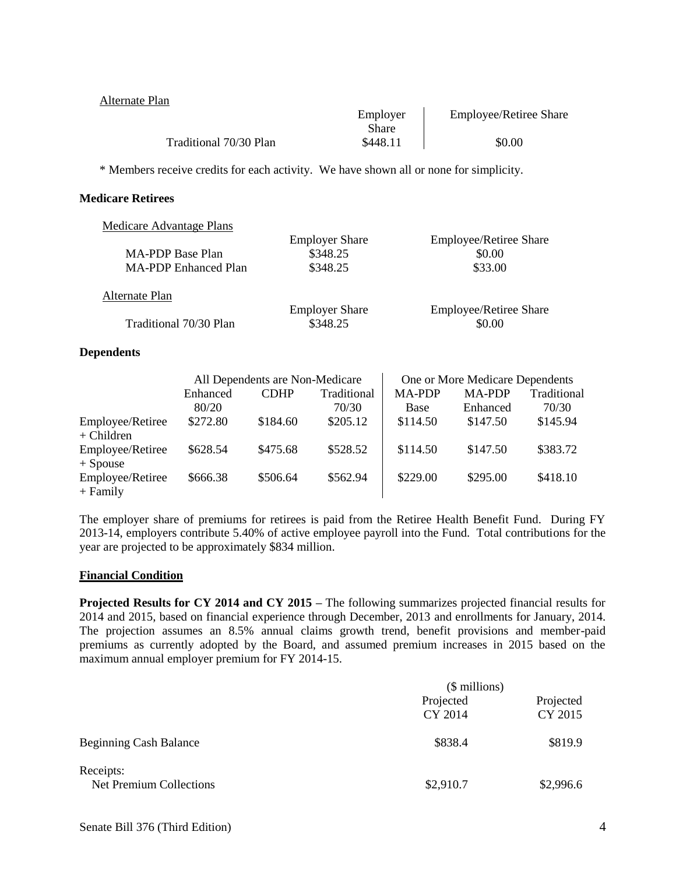| Alternate Plan         |          |                               |
|------------------------|----------|-------------------------------|
|                        | Employer | <b>Employee/Retiree Share</b> |
|                        | Share    |                               |
| Traditional 70/30 Plan | \$448.11 | \$0.00                        |

\* Members receive credits for each activity. We have shown all or none for simplicity.

#### **Medicare Retirees**

| Medicare Advantage Plans    |                       |                               |
|-----------------------------|-----------------------|-------------------------------|
|                             | <b>Employer Share</b> | <b>Employee/Retiree Share</b> |
| MA-PDP Base Plan            | \$348.25              | \$0.00                        |
| <b>MA-PDP</b> Enhanced Plan | \$348.25              | \$33.00                       |
| Alternate Plan              |                       |                               |
|                             | <b>Employer Share</b> | <b>Employee/Retiree Share</b> |
| Traditional 70/30 Plan      | \$348.25              | \$0.00                        |

#### **Dependents**

|                                  | All Dependents are Non-Medicare |             |             |               | One or More Medicare Dependents |             |
|----------------------------------|---------------------------------|-------------|-------------|---------------|---------------------------------|-------------|
|                                  | Enhanced                        | <b>CDHP</b> | Traditional | <b>MA-PDP</b> | <b>MA-PDP</b>                   | Traditional |
|                                  | 80/20                           |             | 70/30       | Base          | Enhanced                        | 70/30       |
| Employee/Retiree<br>$+$ Children | \$272.80                        | \$184.60    | \$205.12    | \$114.50      | \$147.50                        | \$145.94    |
| Employee/Retiree<br>$+$ Spouse   | \$628.54                        | \$475.68    | \$528.52    | \$114.50      | \$147.50                        | \$383.72    |
| Employee/Retiree<br>$+$ Family   | \$666.38                        | \$506.64    | \$562.94    | \$229.00      | \$295.00                        | \$418.10    |

The employer share of premiums for retirees is paid from the Retiree Health Benefit Fund. During FY 2013-14, employers contribute 5.40% of active employee payroll into the Fund. Total contributions for the year are projected to be approximately \$834 million.

# **Financial Condition**

**Projected Results for CY 2014 and CY 2015 –** The following summarizes projected financial results for 2014 and 2015, based on financial experience through December, 2013 and enrollments for January, 2014. The projection assumes an 8.5% annual claims growth trend, benefit provisions and member-paid premiums as currently adopted by the Board, and assumed premium increases in 2015 based on the maximum annual employer premium for FY 2014-15.

|                               | (\$ millions)<br>Projected<br>CY 2014<br>\$838.4 |                      |  |
|-------------------------------|--------------------------------------------------|----------------------|--|
| Net Premium Collections       |                                                  | Projected<br>CY 2015 |  |
| <b>Beginning Cash Balance</b> |                                                  | \$819.9              |  |
| Receipts:                     | \$2,910.7                                        | \$2,996.6            |  |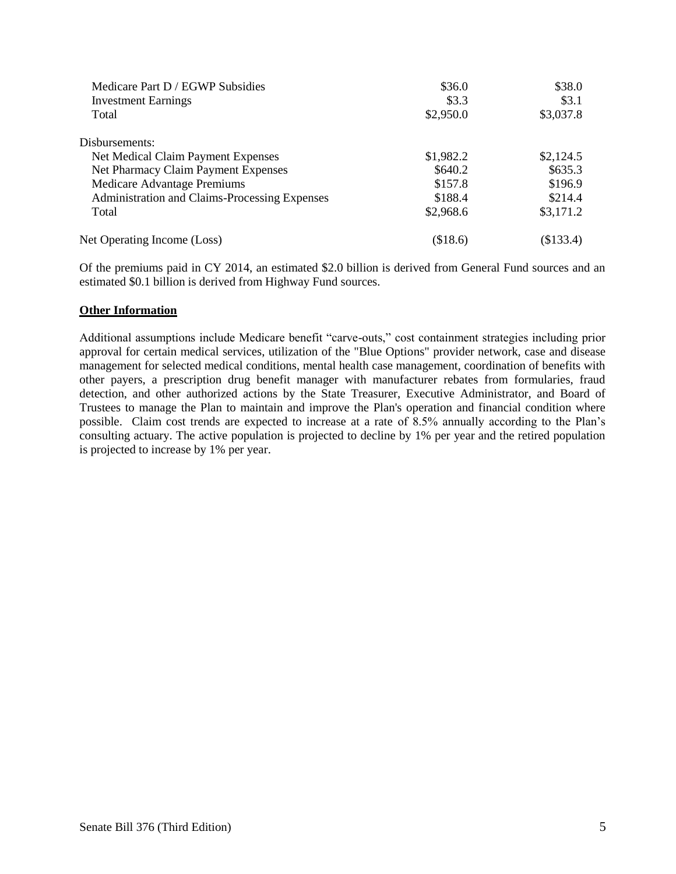| \$36.0    | \$38.0    |
|-----------|-----------|
| \$3.3     | \$3.1     |
| \$2,950.0 | \$3,037.8 |
|           |           |
| \$1,982.2 | \$2,124.5 |
| \$640.2   | \$635.3   |
| \$157.8   | \$196.9   |
| \$188.4   | \$214.4   |
| \$2,968.6 | \$3,171.2 |
| (\$18.6)  | (\$133.4) |
|           |           |

Of the premiums paid in CY 2014, an estimated \$2.0 billion is derived from General Fund sources and an estimated \$0.1 billion is derived from Highway Fund sources.

#### **Other Information**

Additional assumptions include Medicare benefit "carve-outs," cost containment strategies including prior approval for certain medical services, utilization of the "Blue Options" provider network, case and disease management for selected medical conditions, mental health case management, coordination of benefits with other payers, a prescription drug benefit manager with manufacturer rebates from formularies, fraud detection, and other authorized actions by the State Treasurer, Executive Administrator, and Board of Trustees to manage the Plan to maintain and improve the Plan's operation and financial condition where possible. Claim cost trends are expected to increase at a rate of 8.5% annually according to the Plan's consulting actuary. The active population is projected to decline by 1% per year and the retired population is projected to increase by 1% per year.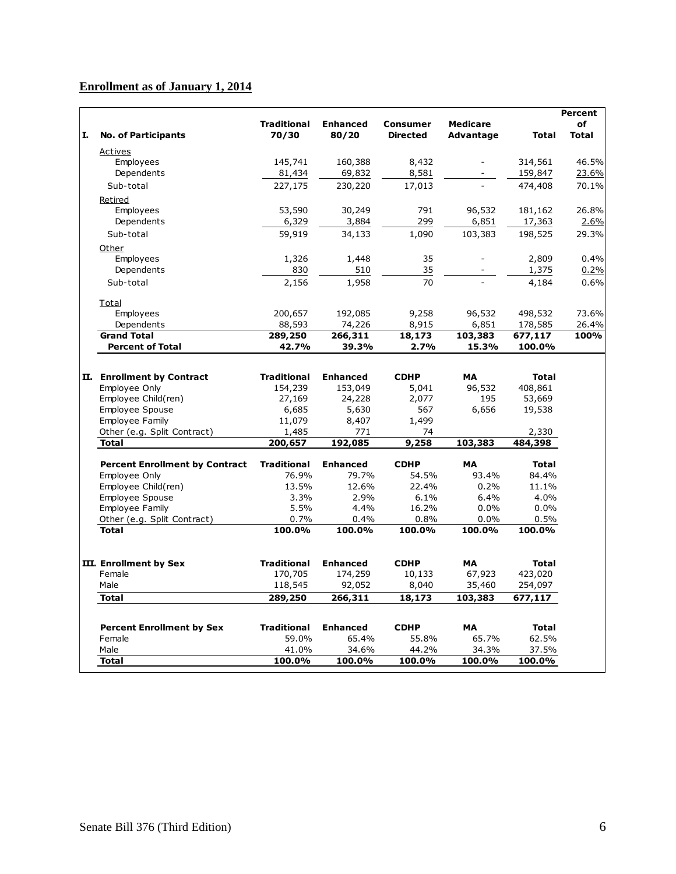# **Enrollment as of January 1, 2014**

|    |                                       |                    |                 |                 |                          |              | <b>Percent</b> |
|----|---------------------------------------|--------------------|-----------------|-----------------|--------------------------|--------------|----------------|
|    |                                       | <b>Traditional</b> | <b>Enhanced</b> | <b>Consumer</b> | <b>Medicare</b>          |              | of             |
| I. | <b>No. of Participants</b>            | 70/30              | 80/20           | <b>Directed</b> | Advantage                | Total        | <b>Total</b>   |
|    | Actives                               |                    |                 |                 |                          |              |                |
|    | Employees                             | 145,741            | 160,388         | 8,432           | $\overline{\phantom{a}}$ | 314,561      | 46.5%          |
|    | Dependents                            | 81,434             | 69,832          | 8,581           |                          | 159,847      | 23.6%          |
|    | Sub-total                             | 227,175            | 230,220         | 17,013          |                          | 474,408      | 70.1%          |
|    | Retired                               |                    |                 |                 |                          |              |                |
|    | Employees                             | 53,590             | 30,249          | 791             | 96,532                   | 181,162      | 26.8%          |
|    | Dependents                            | 6,329              | 3,884           | 299             | 6,851                    | 17,363       | 2.6%           |
|    | Sub-total                             | 59,919             | 34,133          | 1,090           | 103,383                  | 198,525      | 29.3%          |
|    | Other                                 |                    |                 |                 |                          |              |                |
|    | Employees                             | 1,326              | 1,448           | 35              |                          | 2,809        | 0.4%           |
|    | Dependents                            | 830                | 510             | 35              |                          | 1,375        | 0.2%           |
|    | Sub-total                             | 2,156              | 1,958           | 70              |                          | 4,184        | 0.6%           |
|    |                                       |                    |                 |                 |                          |              |                |
|    | Total                                 |                    |                 |                 |                          |              |                |
|    | Employees                             | 200,657            | 192,085         | 9,258           | 96,532                   | 498,532      | 73.6%          |
|    | Dependents                            | 88,593             | 74,226          | 8,915           | 6,851                    | 178,585      | 26.4%          |
|    | <b>Grand Total</b>                    | 289,250            | 266,311         | 18,173          | 103,383                  | 677,117      | 100%           |
|    | <b>Percent of Total</b>               | 42.7%              | 39.3%           | 2.7%            | 15.3%                    | 100.0%       |                |
|    |                                       |                    |                 |                 |                          |              |                |
|    | II. Enrollment by Contract            | <b>Traditional</b> | <b>Enhanced</b> | <b>CDHP</b>     | <b>MA</b>                | <b>Total</b> |                |
|    | Employee Only                         | 154,239            | 153,049         | 5,041           | 96,532                   | 408,861      |                |
|    | Employee Child(ren)                   | 27,169             | 24,228          | 2,077           | 195                      | 53,669       |                |
|    | Employee Spouse                       | 6,685              | 5,630           | 567             | 6,656                    | 19,538       |                |
|    | Employee Family                       | 11,079             | 8,407           | 1,499           |                          |              |                |
|    | Other (e.g. Split Contract)           | 1,485              | 771             | 74              |                          | 2,330        |                |
|    | <b>Total</b>                          | 200,657            | 192,085         | 9,258           | 103,383                  | 484,398      |                |
|    | <b>Percent Enrollment by Contract</b> | <b>Traditional</b> | <b>Enhanced</b> | <b>CDHP</b>     | <b>MA</b>                | <b>Total</b> |                |
|    | Employee Only                         | 76.9%              | 79.7%           | 54.5%           | 93.4%                    | 84.4%        |                |
|    | Employee Child(ren)                   | 13.5%              | 12.6%           | 22.4%           | 0.2%                     | 11.1%        |                |
|    | Employee Spouse                       | 3.3%               | 2.9%            | 6.1%            | 6.4%                     | 4.0%         |                |
|    | Employee Family                       | 5.5%               | 4.4%            | 16.2%           | 0.0%                     | 0.0%         |                |
|    | Other (e.g. Split Contract)           | 0.7%               | 0.4%            | 0.8%            | 0.0%                     | 0.5%         |                |
|    | <b>Total</b>                          | 100.0%             | 100.0%          | 100.0%          | 100.0%                   | 100.0%       |                |
|    |                                       |                    |                 |                 |                          |              |                |
|    | III. Enrollment by Sex                | <b>Traditional</b> | <b>Enhanced</b> | <b>CDHP</b>     | <b>MA</b>                | <b>Total</b> |                |
|    | Female                                | 170,705            | 174,259         | 10,133          | 67,923                   | 423,020      |                |
|    | Male                                  | 118,545            | 92,052          | 8,040           | 35,460                   | 254,097      |                |
|    | <b>Total</b>                          | 289,250            | 266,311         | 18,173          | 103,383                  | 677,117      |                |
|    |                                       |                    |                 |                 |                          |              |                |
|    | <b>Percent Enrollment by Sex</b>      | <b>Traditional</b> | <b>Enhanced</b> | <b>CDHP</b>     | <b>MA</b>                | <b>Total</b> |                |
|    | Female                                | 59.0%              | 65.4%           | 55.8%           | 65.7%                    | 62.5%        |                |
|    | Male                                  | 41.0%              | 34.6%           | 44.2%           | 34.3%                    | 37.5%        |                |
|    | <b>Total</b>                          | 100.0%             | 100.0%          | 100.0%          | 100.0%                   | 100.0%       |                |
|    |                                       |                    |                 |                 |                          |              |                |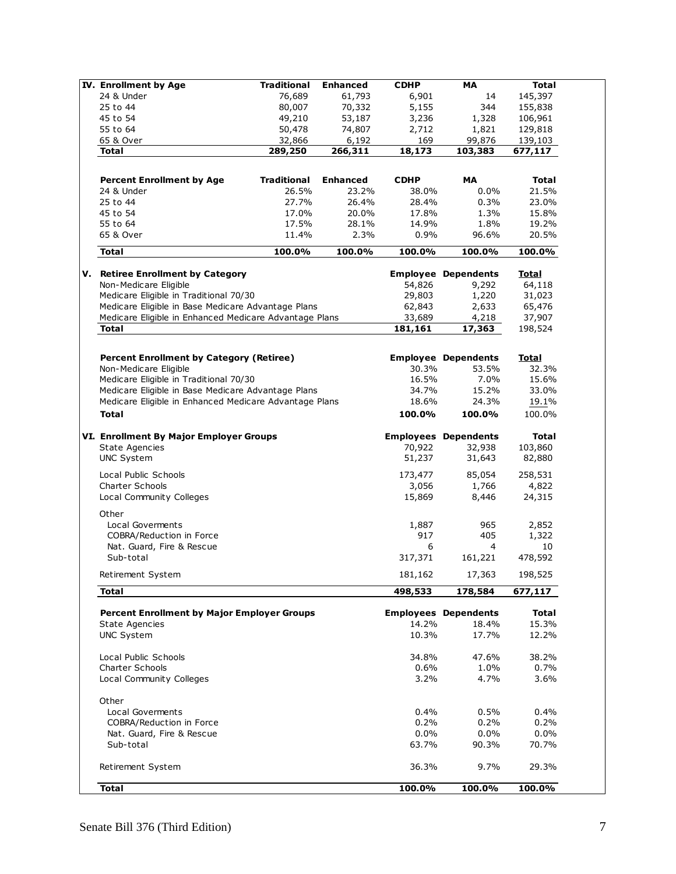| <b>IV.</b> Enrollment by Age                           | <b>Traditional</b> | <b>Enhanced</b> | <b>CDHP</b> | <b>MA</b>                   | <b>Total</b> |  |
|--------------------------------------------------------|--------------------|-----------------|-------------|-----------------------------|--------------|--|
| 24 & Under                                             |                    | 61,793          |             |                             |              |  |
|                                                        | 76,689             |                 | 6,901       | 14                          | 145,397      |  |
| 25 to 44                                               | 80,007             | 70,332          | 5,155       | 344                         | 155,838      |  |
| 45 to 54                                               | 49,210             | 53,187          | 3,236       | 1,328                       | 106,961      |  |
| 55 to 64                                               | 50,478             | 74,807          | 2,712       | 1,821                       | 129,818      |  |
| 65 & Over                                              | 32,866             | 6,192           | 169         | 99,876                      | 139,103      |  |
| <b>Total</b>                                           | 289,250            | 266,311         | 18,173      | 103,383                     | 677,117      |  |
|                                                        |                    |                 |             |                             |              |  |
|                                                        |                    |                 |             |                             |              |  |
| <b>Percent Enrollment by Age</b>                       | <b>Traditional</b> | <b>Enhanced</b> | <b>CDHP</b> | MA                          | <b>Total</b> |  |
| 24 & Under                                             | 26.5%              | 23.2%           | 38.0%       | 0.0%                        | 21.5%        |  |
| 25 to 44                                               | 27.7%              | 26.4%           | 28.4%       | 0.3%                        | 23.0%        |  |
| 45 to 54                                               | 17.0%              |                 | 17.8%       | 1.3%                        | 15.8%        |  |
|                                                        |                    | 20.0%           |             |                             |              |  |
| 55 to 64                                               | 17.5%              | 28.1%           | 14.9%       | 1.8%                        | 19.2%        |  |
| 65 & Over                                              | 11.4%              | 2.3%            | 0.9%        | 96.6%                       | 20.5%        |  |
| <b>Total</b>                                           | 100.0%             | 100.0%          | 100.0%      | 100.0%                      | 100.0%       |  |
|                                                        |                    |                 |             |                             |              |  |
| V. Retiree Enrollment by Category                      |                    |                 |             | <b>Employee Dependents</b>  | <u>Total</u> |  |
| Non-Medicare Eligible                                  |                    |                 | 54,826      | 9,292                       | 64,118       |  |
| Medicare Eligible in Traditional 70/30                 |                    |                 | 29,803      | 1,220                       | 31,023       |  |
| Medicare Eligible in Base Medicare Advantage Plans     |                    |                 | 62,843      | 2,633                       | 65,476       |  |
| Medicare Eligible in Enhanced Medicare Advantage Plans |                    |                 | 33,689      | 4,218                       | 37,907       |  |
| <b>Total</b>                                           |                    |                 | 181,161     | 17,363                      | 198,524      |  |
|                                                        |                    |                 |             |                             |              |  |
|                                                        |                    |                 |             |                             |              |  |
| <b>Percent Enrollment by Category (Retiree)</b>        |                    |                 |             | <b>Employee Dependents</b>  | <b>Total</b> |  |
| Non-Medicare Eligible                                  |                    |                 | 30.3%       | 53.5%                       | 32.3%        |  |
| Medicare Eligible in Traditional 70/30                 |                    |                 | 16.5%       | 7.0%                        | 15.6%        |  |
|                                                        |                    |                 | 34.7%       |                             |              |  |
| Medicare Eligible in Base Medicare Advantage Plans     |                    |                 |             | 15.2%                       | 33.0%        |  |
| Medicare Eligible in Enhanced Medicare Advantage Plans |                    |                 | 18.6%       | 24.3%                       | 19.1%        |  |
| <b>Total</b>                                           |                    |                 | 100.0%      | 100.0%                      | 100.0%       |  |
| VI. Enrollment By Major Employer Groups                |                    |                 |             | <b>Employees Dependents</b> | <b>Total</b> |  |
| <b>State Agencies</b>                                  |                    |                 | 70,922      | 32,938                      | 103,860      |  |
| <b>UNC System</b>                                      |                    |                 | 51,237      | 31,643                      | 82,880       |  |
|                                                        |                    |                 |             |                             |              |  |
| Local Public Schools                                   |                    |                 | 173,477     | 85,054                      | 258,531      |  |
| <b>Charter Schools</b>                                 |                    |                 | 3,056       | 1,766                       | 4,822        |  |
| Local Community Colleges                               |                    |                 | 15,869      | 8,446                       | 24,315       |  |
|                                                        |                    |                 |             |                             |              |  |
| Other                                                  |                    |                 |             |                             |              |  |
| Local Goverments                                       |                    |                 | 1,887       | 965                         | 2,852        |  |
| COBRA/Reduction in Force                               |                    |                 | 917         | 405                         | 1,322        |  |
| Nat. Guard, Fire & Rescue                              |                    |                 | 6           | 4                           | 10           |  |
| Sub-total                                              |                    |                 | 317,371     | 161,221                     | 478,592      |  |
|                                                        |                    |                 |             |                             |              |  |
| Retirement System                                      |                    |                 | 181,162     | 17,363                      | 198,525      |  |
| <b>Total</b>                                           |                    |                 | 498,533     | 178,584                     | 677,117      |  |
|                                                        |                    |                 |             |                             |              |  |
| <b>Percent Enrollment by Major Employer Groups</b>     |                    |                 |             | <b>Employees Dependents</b> | <b>Total</b> |  |
| <b>State Agencies</b>                                  |                    |                 | 14.2%       | 18.4%                       | 15.3%        |  |
| <b>UNC System</b>                                      |                    |                 | 10.3%       | 17.7%                       | 12.2%        |  |
|                                                        |                    |                 |             |                             |              |  |
| Local Public Schools                                   |                    |                 | 34.8%       | 47.6%                       | 38.2%        |  |
| Charter Schools                                        |                    |                 | 0.6%        | 1.0%                        | 0.7%         |  |
|                                                        |                    |                 | 3.2%        | 4.7%                        | 3.6%         |  |
| Local Community Colleges                               |                    |                 |             |                             |              |  |
| Other                                                  |                    |                 |             |                             |              |  |
|                                                        |                    |                 |             |                             |              |  |
| Local Goverments                                       |                    |                 | 0.4%        | 0.5%                        | 0.4%         |  |
| COBRA/Reduction in Force                               |                    |                 | 0.2%        | 0.2%                        | 0.2%         |  |
| Nat. Guard, Fire & Rescue                              |                    |                 | 0.0%        | 0.0%                        | 0.0%         |  |
| Sub-total                                              |                    |                 | 63.7%       | 90.3%                       | 70.7%        |  |
|                                                        |                    |                 |             |                             |              |  |
| Retirement System                                      |                    |                 | 36.3%       | 9.7%                        | 29.3%        |  |
|                                                        |                    |                 |             |                             |              |  |
| <b>Total</b>                                           |                    |                 | 100.0%      | 100.0%                      | 100.0%       |  |